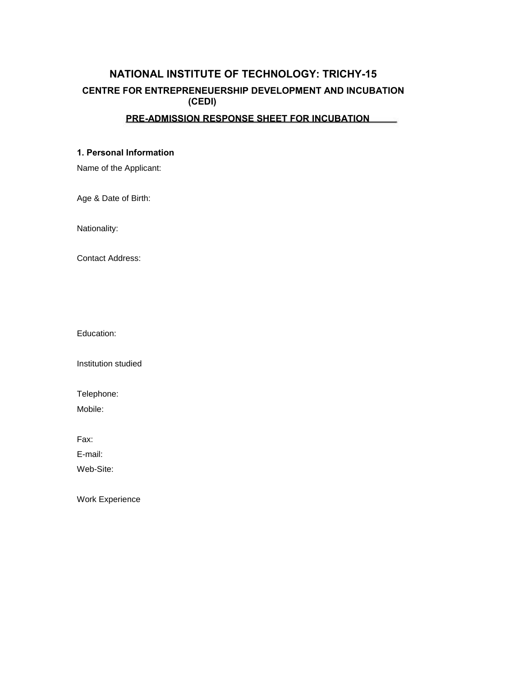# **NATIONAL INSTITUTE OF TECHNOLOGY: TRICHY-15 CENTRE FOR ENTREPRENEUERSHIP DEVELOPMENT AND INCUBATION (CEDI)**

#### **PRE-ADMISSION RESPONSE SHEET FOR INCUBATION**

## **1. Personal Information**

Name of the Applicant:

Age & Date of Birth:

Nationality:

Contact Address:

Education:

Institution studied

Telephone:

Mobile:

Fax:

E-mail:

Web-Site:

Work Experience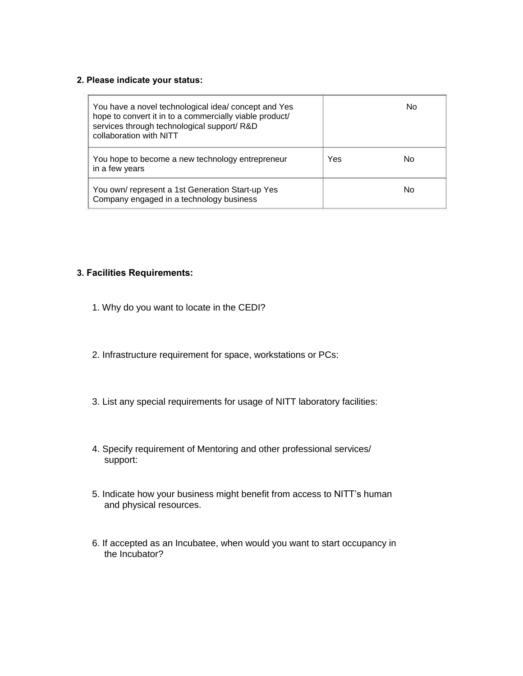### **2. Please indicate your status:**

| You have a novel technological idea/ concept and Yes<br>hope to convert it in to a commercially viable product/<br>services through technological support/R&D<br>collaboration with NITT |     | No |
|------------------------------------------------------------------------------------------------------------------------------------------------------------------------------------------|-----|----|
| You hope to become a new technology entrepreneur<br>in a few years                                                                                                                       | Yes | No |
| You own/represent a 1st Generation Start-up Yes<br>Company engaged in a technology business                                                                                              |     | No |

# **3. Facilities Requirements:**

- 1. Why do you want to locate in the CEDI?
- 2. Infrastructure requirement for space, workstations or PCs:
- 3. List any special requirements for usage of NITT laboratory facilities:
- 4. Specify requirement of Mentoring and other professional services/ support:
- 5. Indicate how your business might benefit from access to NITT's human and physical resources.
- 6. If accepted as an Incubatee, when would you want to start occupancy in the Incubator?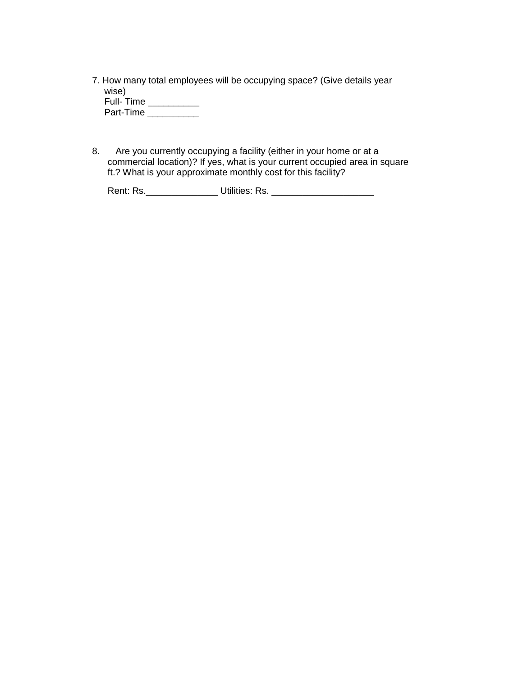7. How many total employees will be occupying space? (Give details year wise)

| Full-Time |  |
|-----------|--|
| Part-Time |  |

8. Are you currently occupying a facility (either in your home or at a commercial location)? If yes, what is your current occupied area in square ft.? What is your approximate monthly cost for this facility?

Rent: Rs.\_\_\_\_\_\_\_\_\_\_\_\_\_\_ Utilities: Rs. \_\_\_\_\_\_\_\_\_\_\_\_\_\_\_\_\_\_\_\_